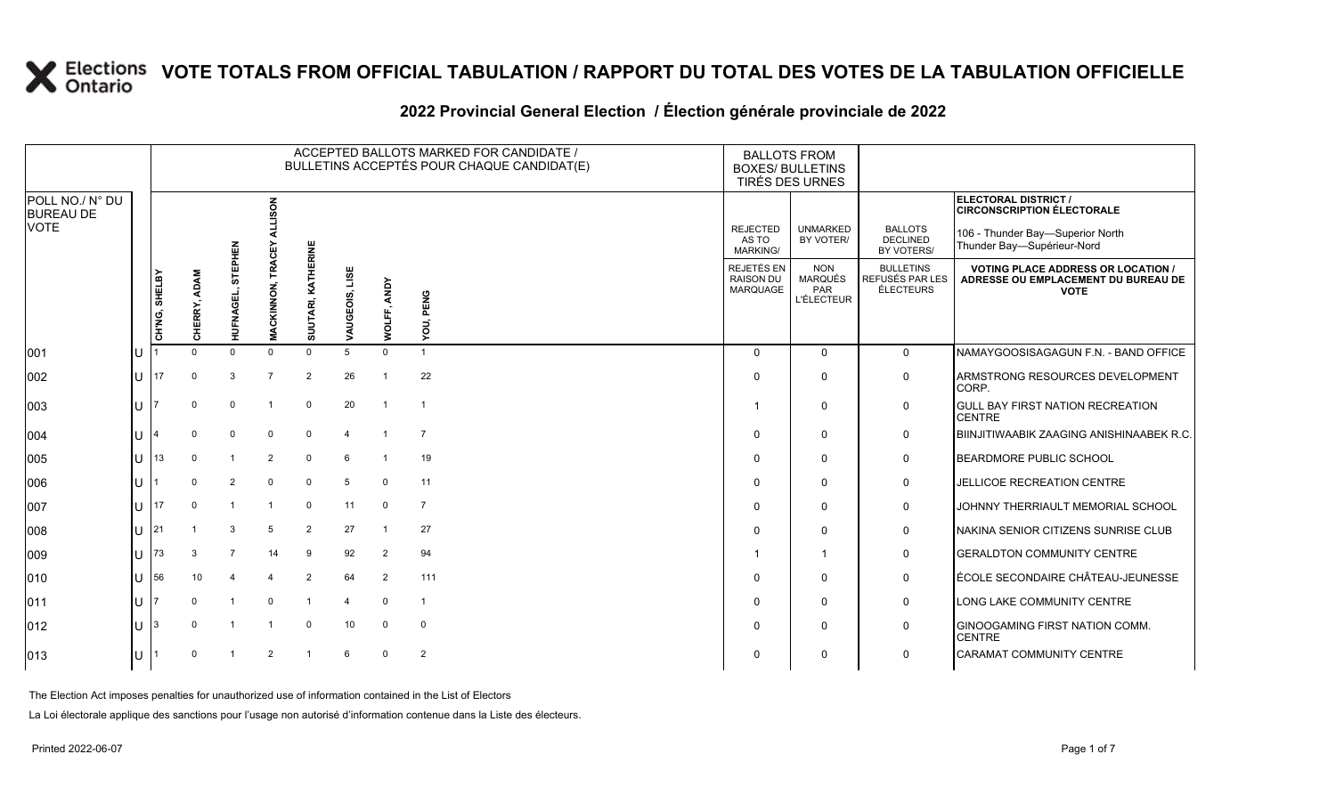#### **2022 Provincial General Election / Élection générale provinciale de 2022**

|                                     |               |                        |                |                   |                    |                   |                | ACCEPTED BALLOTS MARKED FOR CANDIDATE /<br>BULLETINS ACCEPTÉS POUR CHAQUE CANDIDAT(E) | <b>BALLOTS FROM</b><br><b>BOXES/ BULLETINS</b><br>TIRÉS DES URNES |                                                          |                                                  |                                                                                                 |
|-------------------------------------|---------------|------------------------|----------------|-------------------|--------------------|-------------------|----------------|---------------------------------------------------------------------------------------|-------------------------------------------------------------------|----------------------------------------------------------|--------------------------------------------------|-------------------------------------------------------------------------------------------------|
| POLL NO./ N° DU<br><b>BUREAU DE</b> |               |                        |                | る                 |                    |                   |                |                                                                                       |                                                                   |                                                          |                                                  | ELECTORAL DISTRICT /<br><b>CIRCONSCRIPTION ÉLECTORALE</b>                                       |
| <b>VOTE</b>                         |               |                        |                |                   |                    |                   |                |                                                                                       | <b>REJECTED</b><br>AS TO<br><b>MARKING/</b>                       | <b>UNMARKED</b><br>BY VOTER/                             | <b>BALLOTS</b><br><b>DECLINED</b><br>BY VOTERS/  | 106 - Thunder Bay-Superior North<br>Thunder Bay-Supérieur-Nord                                  |
|                                     | CH'NG, SHELBY | <b>ADAM</b><br>CHERRY, | 듮<br>HUFNAGEI  | <b>MACKINNON,</b> | SUUTARI, KATHERINE | LISE<br>VAUGEOIS, | WOLFF, ANDY    | YOU, PENG                                                                             | <b>REJETÉS EN</b><br><b>RAISON DU</b><br><b>MARQUAGE</b>          | <b>NON</b><br><b>MARQUÉS</b><br>PAR<br><b>L'ÉLECTEUR</b> | <b>BULLETINS</b><br>REFUSÉS PAR LES<br>ÉLECTEURS | <b>VOTING PLACE ADDRESS OR LOCATION /</b><br>ADRESSE OU EMPLACEMENT DU BUREAU DE<br><b>VOTE</b> |
| 001                                 |               | $\Omega$               | $\Omega$       | $\Omega$          | $\Omega$           |                   | $\Omega$       |                                                                                       | $\Omega$                                                          | $\Omega$                                                 | $\mathbf 0$                                      | NAMAYGOOSISAGAGUN F.N. - BAND OFFICE                                                            |
| 002                                 | 17            |                        | 3              | $\overline{7}$    | $\overline{2}$     | 26                |                | 22                                                                                    | $\Omega$                                                          | $\Omega$                                                 | $\mathbf 0$                                      | ARMSTRONG RESOURCES DEVELOPMENT<br>CORP.                                                        |
| 003                                 |               | $\Omega$               | $\Omega$       | -1                | $\mathbf 0$        | 20                | $\overline{1}$ | $\overline{\mathbf{1}}$                                                               | -1                                                                | $\Omega$                                                 | $\mathbf 0$                                      | <b>GULL BAY FIRST NATION RECREATION</b><br><b>CENTRE</b>                                        |
| 004                                 |               |                        | $\Omega$       | $\overline{0}$    | $\mathbf 0$        |                   |                | $\overline{7}$                                                                        | $\Omega$                                                          | $\Omega$                                                 | 0                                                | BIINJITIWAABIK ZAAGING ANISHINAABEK R.C.                                                        |
| 005                                 | 13            |                        |                | $\overline{2}$    | $\mathbf 0$        | 6                 |                | 19                                                                                    | $\Omega$                                                          | $\Omega$                                                 | 0                                                | BEARDMORE PUBLIC SCHOOL                                                                         |
| 006                                 |               |                        | $\overline{2}$ | $\Omega$          | $\mathbf 0$        | 5                 | $\Omega$       | 11                                                                                    | $\Omega$                                                          | $\Omega$                                                 | 0                                                | JELLICOE RECREATION CENTRE                                                                      |
| 007                                 | 17            |                        |                |                   | $\Omega$           | 11                | 0              | $\overline{7}$                                                                        | $\Omega$                                                          | $\Omega$                                                 | $\mathbf 0$                                      | JOHNNY THERRIAULT MEMORIAL SCHOOL                                                               |
| 008                                 | 21            |                        | 3              | 5                 | $\overline{2}$     | 27                | -1             | 27                                                                                    | $\Omega$                                                          | $\Omega$                                                 | $\mathbf 0$                                      | NAKINA SENIOR CITIZENS SUNRISE CLUB                                                             |
| 009                                 | 73            |                        |                | 14                | 9                  | 92                | $\overline{2}$ | 94                                                                                    | -1                                                                | -1                                                       | $\mathbf 0$                                      | <b>GERALDTON COMMUNITY CENTRE</b>                                                               |
| 010                                 | 56            | 10                     |                |                   | $\overline{2}$     | 64                | $\overline{2}$ | 111                                                                                   | $\Omega$                                                          | $\Omega$                                                 | $\mathbf 0$                                      | ÉCOLE SECONDAIRE CHÂTEAU-JEUNESSE                                                               |
| 011                                 |               |                        |                | $\Omega$          |                    | 4                 | $\Omega$       | $\overline{1}$                                                                        | $\Omega$                                                          | $\Omega$                                                 | $\mathbf 0$                                      | LONG LAKE COMMUNITY CENTRE                                                                      |
| 012                                 |               |                        |                |                   | $\mathbf 0$        | 10                | 0              | $\mathbf 0$                                                                           | $\Omega$                                                          | $\Omega$                                                 | $\mathbf 0$                                      | <b>GINOOGAMING FIRST NATION COMM.</b><br><b>CENTRE</b>                                          |
| 013                                 |               |                        |                | $\mathcal{P}$     |                    | 6                 | $\Omega$       | $\overline{2}$                                                                        | $\Omega$                                                          | $\Omega$                                                 | 0                                                | CARAMAT COMMUNITY CENTRE                                                                        |

The Election Act imposes penalties for unauthorized use of information contained in the List of Electors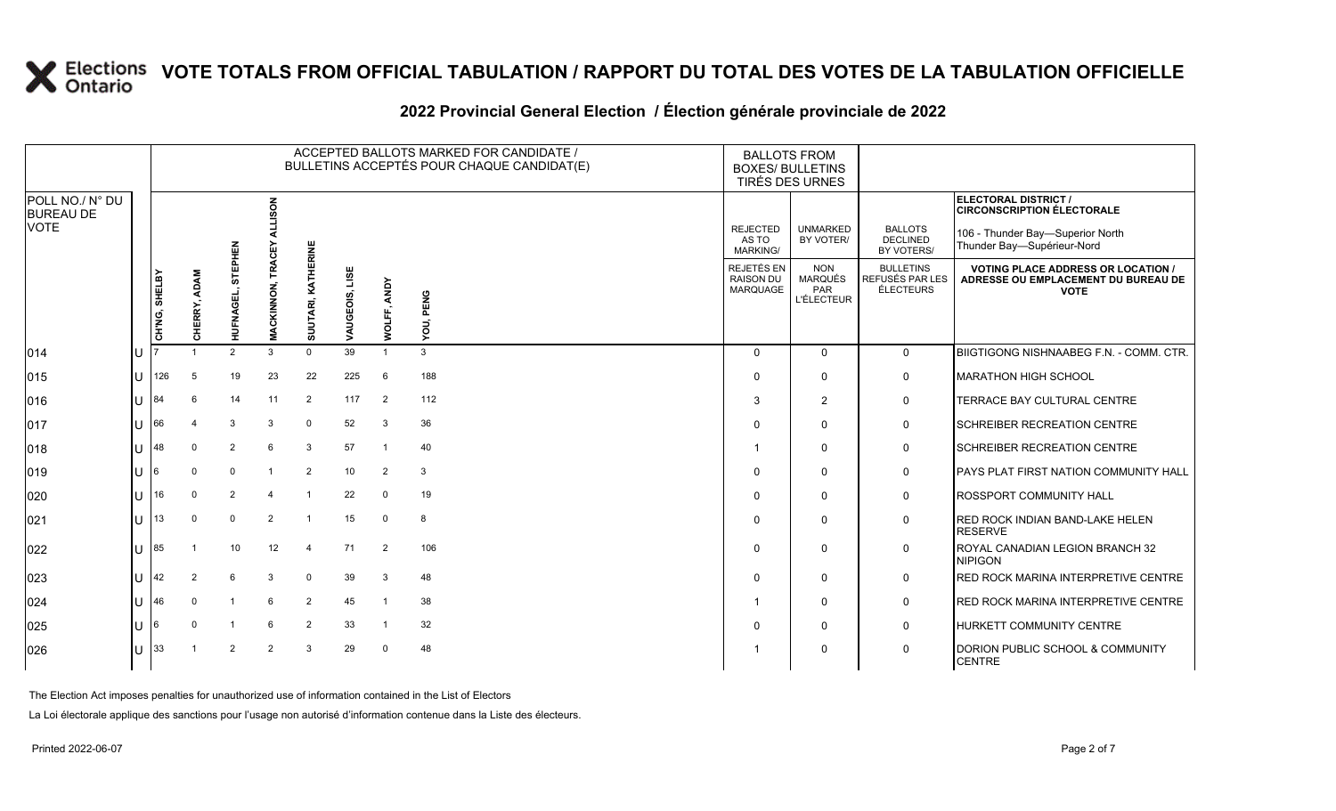#### **2022 Provincial General Election / Élection générale provinciale de 2022**

|                                     |     |               |                     |                 |                   |                       |                   |                       | ACCEPTED BALLOTS MARKED FOR CANDIDATE /<br>BULLETINS ACCEPTÉS POUR CHAQUE CANDIDAT(E) | <b>BALLOTS FROM</b><br><b>BOXES/ BULLETINS</b><br>TIRÉS DES URNES |                                                          |                                                  |                                                                                                 |
|-------------------------------------|-----|---------------|---------------------|-----------------|-------------------|-----------------------|-------------------|-----------------------|---------------------------------------------------------------------------------------|-------------------------------------------------------------------|----------------------------------------------------------|--------------------------------------------------|-------------------------------------------------------------------------------------------------|
| POLL NO./ N° DU<br><b>BUREAU DE</b> |     |               |                     |                 | ទី                |                       |                   |                       |                                                                                       |                                                                   |                                                          |                                                  | <b>ELECTORAL DISTRICT /</b><br><b>CIRCONSCRIPTION ÉLECTORALE</b>                                |
| <b>VOTE</b>                         |     |               |                     | 즚               |                   |                       |                   |                       |                                                                                       | <b>REJECTED</b><br>AS TO<br><b>MARKING/</b>                       | <b>UNMARKED</b><br>BY VOTER/                             | <b>BALLOTS</b><br><b>DECLINED</b><br>BY VOTERS/  | 106 - Thunder Bay-Superior North<br>Thunder Bay-Supérieur-Nord                                  |
|                                     |     | CH'NG, SHELBY | ADAM<br>IERRY,<br>종 | ᠊ᠣ<br>HUFNAC    | <b>MACKINNON,</b> | KATHERINE<br>SUU'     | LISE<br>VAUGEOIS, | <b>ANDY</b><br>WOLFF, | YOU, PENG                                                                             | <b>REJETÉS EN</b><br><b>RAISON DU</b><br>MARQUAGE                 | <b>NON</b><br>MARQUÉS<br><b>PAR</b><br><b>L'ÉLECTEUR</b> | <b>BULLETINS</b><br>REFUSÉS PAR LES<br>ÉLECTEURS | <b>VOTING PLACE ADDRESS OR LOCATION /</b><br>ADRESSE OU EMPLACEMENT DU BUREAU DE<br><b>VOTE</b> |
| 014                                 |     |               |                     | $\mathfrak{p}$  | 3                 | $\Omega$              | 39                |                       | 3                                                                                     | $\Omega$                                                          | $\Omega$                                                 | $\Omega$                                         | BIIGTIGONG NISHNAABEG F.N. - COMM. CTR.                                                         |
| 015                                 | ΙU  | 126           | 5                   | 19              | 23                | 22                    | 225               | 6                     | 188                                                                                   | $\Omega$                                                          | $\Omega$                                                 | $\mathbf 0$                                      | <b>MARATHON HIGH SCHOOL</b>                                                                     |
| 016                                 | ΠT  | 84            |                     | 14              | 11                | $\overline{2}$        | 117               | 2                     | 112                                                                                   | 3                                                                 | $\overline{2}$                                           | 0                                                | TERRACE BAY CULTURAL CENTRE                                                                     |
| 017                                 | U   | 66            |                     | 3               | 3                 | $\mathbf 0$           | 52                | 3                     | 36                                                                                    | $\Omega$                                                          | $\Omega$                                                 | 0                                                | <b>SCHREIBER RECREATION CENTRE</b>                                                              |
| 018                                 | U   | 48            | $\Omega$            | 2               | 6                 | 3                     | 57                | $\overline{1}$        | 40                                                                                    |                                                                   | $\Omega$                                                 | $\mathbf 0$                                      | <b>SCHREIBER RECREATION CENTRE</b>                                                              |
| 019                                 | ΙUΓ | 16            | $\Omega$            | $\Omega$        |                   | $\overline{2}$        | 10                | $\overline{2}$        | 3                                                                                     | 0                                                                 | $\Omega$                                                 | 0                                                | PAYS PLAT FIRST NATION COMMUNITY HALL                                                           |
| 020                                 | ΠT  | 16            | $\Omega$            | 2               |                   |                       | 22                | $\Omega$              | 19                                                                                    | $\Omega$                                                          | $\Omega$                                                 | 0                                                | <b>ROSSPORT COMMUNITY HALL</b>                                                                  |
| 021                                 | ΠT  | 13            | $\Omega$            | $\mathbf 0$     | $\overline{2}$    |                       | 15                | $\mathbf 0$           | 8                                                                                     | $\Omega$                                                          | $\Omega$                                                 | 0                                                | <b>RED ROCK INDIAN BAND-LAKE HELEN</b><br><b>RESERVE</b>                                        |
| 022                                 | ПT  | 185           |                     | 10 <sup>1</sup> | 12                | $\boldsymbol{\Delta}$ | 71                | 2                     | 106                                                                                   | $\Omega$                                                          | $\Omega$                                                 | 0                                                | ROYAL CANADIAN LEGION BRANCH 32<br><b>NIPIGON</b>                                               |
| 023                                 | Ш   | 42            | 2                   | 6               | 3                 | $\mathbf 0$           | 39                | 3                     | 48                                                                                    | $\Omega$                                                          | $\Omega$                                                 | $\mathbf 0$                                      | RED ROCK MARINA INTERPRETIVE CENTRE                                                             |
| 024                                 | ΙU  | 46            | $\Omega$            | $\overline{1}$  | 6                 | $\overline{2}$        | 45                | $\overline{1}$        | 38                                                                                    |                                                                   | $\Omega$                                                 | $\mathbf 0$                                      | RED ROCK MARINA INTERPRETIVE CENTRE                                                             |
| 025                                 | IU  | 16            |                     |                 | 6                 | $\overline{2}$        | 33                | - 1                   | 32                                                                                    | $\Omega$                                                          | $\Omega$                                                 | $\mathbf 0$                                      | HURKETT COMMUNITY CENTRE                                                                        |
| 026                                 | U   | 33            |                     | $\overline{2}$  | $\mathcal{P}$     | 3                     | 29                | $\Omega$              | 48                                                                                    |                                                                   | $\Omega$                                                 | $\mathbf 0$                                      | DORION PUBLIC SCHOOL & COMMUNITY<br><b>CENTRE</b>                                               |

The Election Act imposes penalties for unauthorized use of information contained in the List of Electors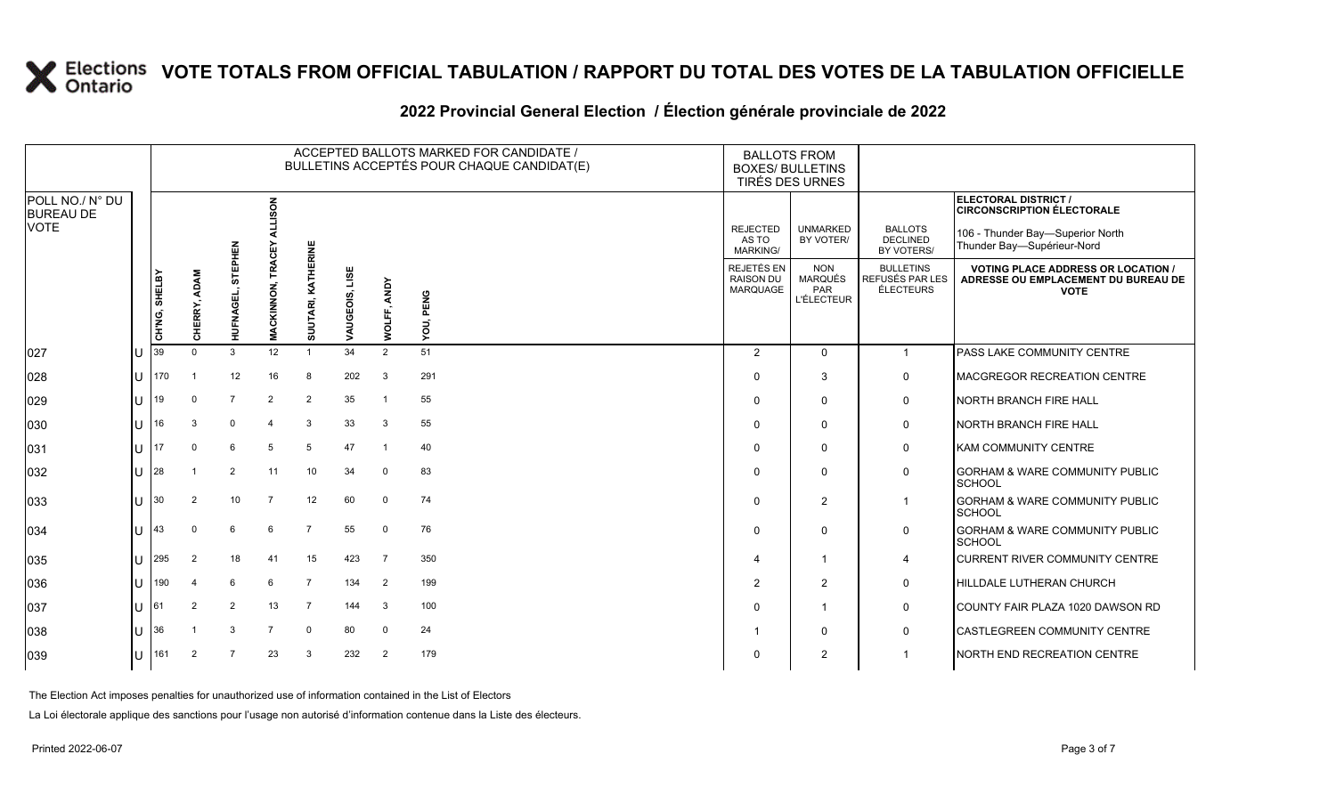#### **2022 Provincial General Election / Élection générale provinciale de 2022**

|                                     |    |               | ACCEPTED BALLOTS MARKED FOR CANDIDATE /<br>BULLETINS ACCEPTÉS POUR CHAQUE CANDIDAT(E) |                      |                   |                    |                   |                |           | <b>BALLOTS FROM</b><br><b>BOXES/ BULLETINS</b><br>TIRÉS DES URNES |                                                          |                                                         |                                                                                                 |
|-------------------------------------|----|---------------|---------------------------------------------------------------------------------------|----------------------|-------------------|--------------------|-------------------|----------------|-----------|-------------------------------------------------------------------|----------------------------------------------------------|---------------------------------------------------------|-------------------------------------------------------------------------------------------------|
| POLL NO./ N° DU<br><b>BUREAU DE</b> |    |               |                                                                                       |                      | <b>ALLISON</b>    |                    |                   |                |           |                                                                   |                                                          |                                                         | ELECTORAL DISTRICT /<br><b>CIRCONSCRIPTION ÉLECTORALE</b>                                       |
| <b>VOTE</b>                         |    |               |                                                                                       |                      | <b>TRACEY</b>     |                    |                   |                |           | <b>REJECTED</b><br>AS TO<br><b>MARKING/</b>                       | <b>UNMARKED</b><br>BY VOTER/                             | <b>BALLOTS</b><br><b>DECLINED</b><br>BY VOTERS/         | 106 - Thunder Bay-Superior North<br>Thunder Bay-Supérieur-Nord                                  |
|                                     |    | CH'NG, SHELBY | ERRY, ADAM<br>동                                                                       | STEPHEN<br>HUFNAGEL, | <b>MACKINNON,</b> | SUUTARI, KATHERINE | LISE<br>VAUGEOIS, | ANDY           | YOU, PENG | <b>REJETÉS EN</b><br><b>RAISON DU</b><br>MARQUAGE                 | <b>NON</b><br><b>MARQUÉS</b><br>PAR<br><b>L'ÉLECTEUR</b> | <b>BULLETINS</b><br>REFUSÉS PAR LES<br><b>ÉLECTEURS</b> | <b>VOTING PLACE ADDRESS OR LOCATION /</b><br>ADRESSE OU EMPLACEMENT DU BUREAU DE<br><b>VOTE</b> |
| 027                                 | Iυ | 39            | $\Omega$                                                                              | 3                    | 12                | $\overline{1}$     | 34                | š<br>2         | 51        | 2                                                                 | $\Omega$                                                 | $\mathbf{1}$                                            | PASS LAKE COMMUNITY CENTRE                                                                      |
| 028                                 | lu | 170           |                                                                                       | 12                   | 16                | 8                  | 202               | $\mathbf{3}$   | 291       | $\Omega$                                                          | 3                                                        | 0                                                       | <b>MACGREGOR RECREATION CENTRE</b>                                                              |
| 029                                 | lu | 19            | $\mathbf 0$                                                                           | $\overline{7}$       | $\overline{2}$    | $\overline{2}$     | 35                | $\overline{1}$ | 55        | $\Omega$                                                          | $\mathbf 0$                                              | $\mathsf{O}$                                            | <b>NORTH BRANCH FIRE HALL</b>                                                                   |
| 030                                 | Iп | 16            | 3                                                                                     | $\mathbf 0$          |                   | 3                  | 33                | 3              | 55        | $\Omega$                                                          | $\mathbf 0$                                              | $\mathsf{O}$                                            | <b>NORTH BRANCH FIRE HALL</b>                                                                   |
| 031                                 | lυ | 17            | $\mathbf 0$                                                                           | 6                    | 5                 | 5                  | 47                | $\overline{1}$ | 40        | 0                                                                 | $\Omega$                                                 | $\mathsf{O}$                                            | <b>KAM COMMUNITY CENTRE</b>                                                                     |
| 032                                 | Ιu | 28            |                                                                                       | $\overline{2}$       | 11                | 10                 | 34                | $\mathbf 0$    | 83        | 0                                                                 | $\mathbf 0$                                              | 0                                                       | <b>GORHAM &amp; WARE COMMUNITY PUBLIC</b><br>SCHOOL                                             |
| 033                                 | lu | 30            | 2                                                                                     | 10                   | $\overline{7}$    | 12                 | 60                | $\mathbf 0$    | 74        | $\Omega$                                                          | 2                                                        | $\mathbf{1}$                                            | <b>GORHAM &amp; WARE COMMUNITY PUBLIC</b><br>SCHOOL                                             |
| 034                                 | lu | 43            | $\Omega$                                                                              | 6                    | 6                 | $\overline{7}$     | 55                | $\mathbf 0$    | 76        | $\Omega$                                                          | $\mathbf 0$                                              | $\mathsf{O}$                                            | <b>GORHAM &amp; WARE COMMUNITY PUBLIC</b><br>SCHOOL                                             |
| 035                                 | lu | 295           | $\overline{2}$                                                                        | 18                   | 41                | 15                 | 423               | 7              | 350       |                                                                   | 1                                                        | $\overline{4}$                                          | <b>CURRENT RIVER COMMUNITY CENTRE</b>                                                           |
| 036                                 | Iυ | 190           |                                                                                       | 6                    | 6                 | $\overline{7}$     | 134               | $\overline{2}$ | 199       | $\overline{2}$                                                    | $\overline{2}$                                           | $\mathsf{O}$                                            | HILLDALE LUTHERAN CHURCH                                                                        |
| 037                                 | lu | 61            | $\overline{2}$                                                                        | 2                    | 13                | $\overline{7}$     | 144               | 3              | 100       | 0                                                                 | 1                                                        | 0                                                       | COUNTY FAIR PLAZA 1020 DAWSON RD                                                                |
| 038                                 | lu | 36            |                                                                                       | 3                    | $\overline{7}$    | $\mathbf 0$        | 80                | $\Omega$       | 24        |                                                                   | 0                                                        | 0                                                       | CASTLEGREEN COMMUNITY CENTRE                                                                    |
| 039                                 | lu | 161           | 2                                                                                     |                      | 23                | 3                  | 232               | $\overline{2}$ | 179       | $\Omega$                                                          | $\overline{2}$                                           |                                                         | <b>NORTH END RECREATION CENTRE</b>                                                              |

The Election Act imposes penalties for unauthorized use of information contained in the List of Electors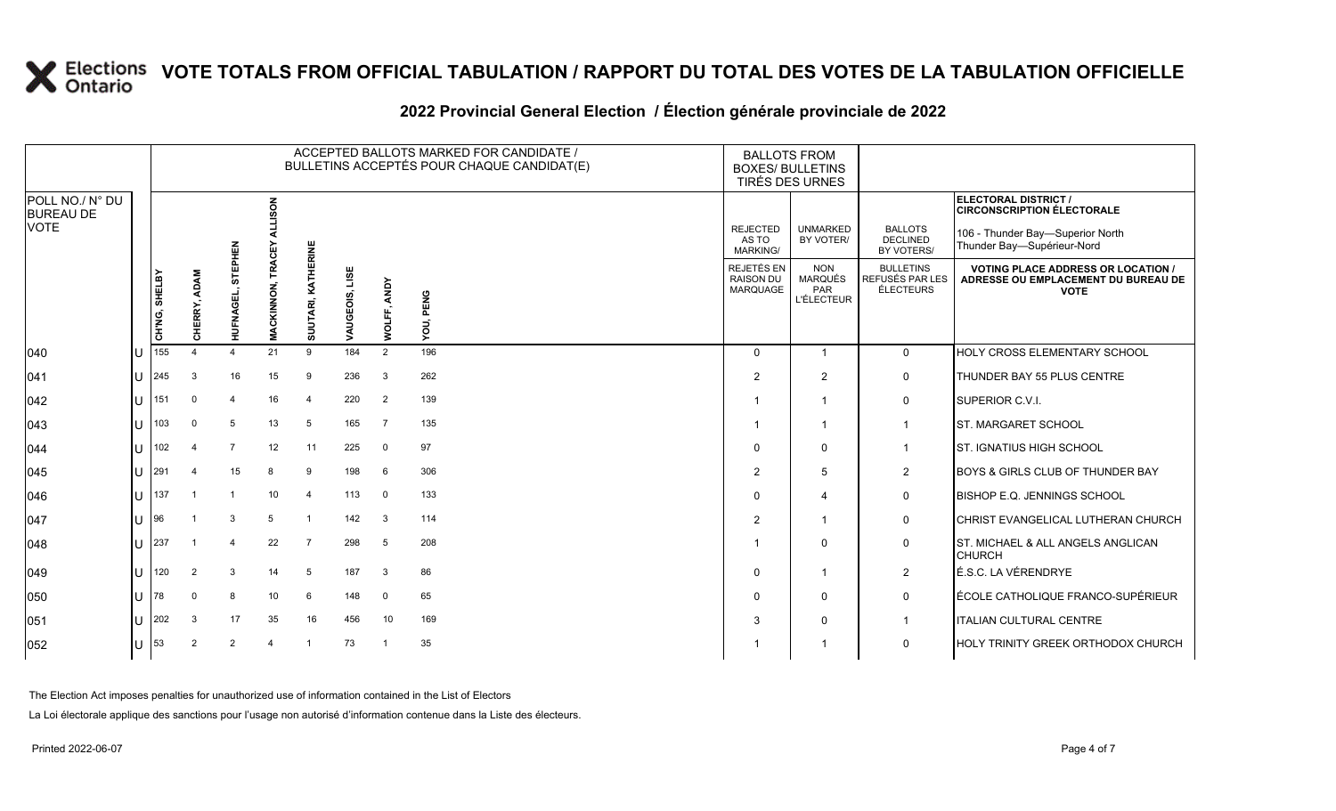#### **2022 Provincial General Election / Élection générale provinciale de 2022**

|                                     |     |               |                           |                |                   |                    |                   |                | ACCEPTED BALLOTS MARKED FOR CANDIDATE /<br>BULLETINS ACCEPTÉS POUR CHAQUE CANDIDAT(E) | <b>BALLOTS FROM</b><br><b>BOXES/ BULLETINS</b><br>TIRÉS DES URNES |                                                   |                                                  |                                                                                                 |
|-------------------------------------|-----|---------------|---------------------------|----------------|-------------------|--------------------|-------------------|----------------|---------------------------------------------------------------------------------------|-------------------------------------------------------------------|---------------------------------------------------|--------------------------------------------------|-------------------------------------------------------------------------------------------------|
| POLL NO./ N° DU<br><b>BUREAU DE</b> |     |               |                           |                | <b>ALLISON</b>    |                    |                   |                |                                                                                       |                                                                   |                                                   |                                                  | ELECTORAL DISTRICT /<br><b>CIRCONSCRIPTION ÉLECTORALE</b>                                       |
| <b>VOTE</b>                         |     |               |                           | EPHEN          | Ω<br>Ω            |                    |                   |                |                                                                                       | <b>REJECTED</b><br>AS TO<br><b>MARKING/</b>                       | <b>UNMARKED</b><br>BY VOTER/                      | <b>BALLOTS</b><br><b>DECLINED</b><br>BY VOTERS/  | 106 - Thunder Bay-Superior North<br>Thunder Bay-Supérieur-Nord                                  |
|                                     |     | CH'NG, SHELBY | <b>ADAM</b><br>ERRY,<br>종 | 등<br>HUFNAGEL, | <b>MACKINNON,</b> | SUUTARI, KATHERINE | LISE<br>VAUGEOIS, | WOLFF, ANDY    | YOU, PENG                                                                             | REJETÉS EN<br><b>RAISON DU</b><br>MARQUAGE                        | <b>NON</b><br>MARQUÉS<br>PAR<br><b>L'ÉLECTEUR</b> | <b>BULLETINS</b><br>REFUSÉS PAR LES<br>ÉLECTEURS | <b>VOTING PLACE ADDRESS OR LOCATION /</b><br>ADRESSE OU EMPLACEMENT DU BUREAU DE<br><b>VOTE</b> |
| 040                                 | lU  | 155           |                           |                | 21                | 9                  | 184               | 2              | 196                                                                                   | $\Omega$                                                          |                                                   | 0                                                | HOLY CROSS ELEMENTARY SCHOOL                                                                    |
| 041                                 | lu  | 245           | 3                         | 16             | 15                | 9                  | 236               | 3              | 262                                                                                   | $\overline{2}$                                                    | 2                                                 | $\mathsf{O}$                                     | THUNDER BAY 55 PLUS CENTRE                                                                      |
| 042                                 | Iυ  | 151           | $\mathbf 0$               | $\overline{4}$ | 16                | $\overline{4}$     | 220               | $\overline{2}$ | 139                                                                                   |                                                                   | $\overline{\phantom{a}}$                          | 0                                                | SUPERIOR C.V.I.                                                                                 |
| 043                                 | Iυ  | 103           | $\Omega$                  | 5              | 13                | 5                  | 165               | $\overline{7}$ | 135                                                                                   |                                                                   |                                                   | $\overline{1}$                                   | ST. MARGARET SCHOOL                                                                             |
| 044                                 | lu  | 102           |                           | $\overline{7}$ | 12                | 11                 | 225               | $\mathbf 0$    | 97                                                                                    | 0                                                                 | 0                                                 | $\mathbf{1}$                                     | <b>ST. IGNATIUS HIGH SCHOOL</b>                                                                 |
| 045                                 | lu  | 291           |                           | 15             | 8                 | 9                  | 198               | 6              | 306                                                                                   | $\overline{2}$                                                    | 5                                                 | $\overline{2}$                                   | BOYS & GIRLS CLUB OF THUNDER BAY                                                                |
| 046                                 | lu  | 137           |                           |                | 10                | $\overline{4}$     | 113               | $\mathbf 0$    | 133                                                                                   | $\Omega$                                                          | 4                                                 | 0                                                | <b>BISHOP E.Q. JENNINGS SCHOOL</b>                                                              |
| 047                                 | ΙU  | 196           |                           | 3              | 5                 |                    | 142               | 3              | 114                                                                                   | $\overline{2}$                                                    |                                                   | 0                                                | CHRIST EVANGELICAL LUTHERAN CHURCH                                                              |
| 048                                 | lu  | 237           |                           |                | 22                | $\overline{7}$     | 298               | 5              | 208                                                                                   |                                                                   | $\mathbf{0}$                                      | 0                                                | ST. MICHAEL & ALL ANGELS ANGLICAN<br><b>CHURCH</b>                                              |
| 049                                 | lu  | 120           | 2                         | 3              | 14                | 5                  | 187               | 3              | 86                                                                                    | 0                                                                 | -1                                                | $\overline{2}$                                   | É.S.C. LA VÉRENDRYE                                                                             |
| 050                                 | lu  | 78            | $\Omega$                  | 8              | 10                | 6                  | 148               | $\mathbf 0$    | 65                                                                                    | $\Omega$                                                          | 0                                                 | $\mathbf 0$                                      | ÉCOLE CATHOLIQUE FRANCO-SUPÉRIEUR                                                               |
| 051                                 | lul | 202           | 3                         | 17             | 35                | 16                 | 456               | 10             | 169                                                                                   | 3                                                                 | 0                                                 | $\mathbf{1}$                                     | <b>ITALIAN CULTURAL CENTRE</b>                                                                  |
| 052                                 | lU  | 53            | $\overline{2}$            | $\overline{2}$ |                   |                    | 73                |                | 35                                                                                    |                                                                   |                                                   | $\mathbf 0$                                      | HOLY TRINITY GREEK ORTHODOX CHURCH                                                              |

The Election Act imposes penalties for unauthorized use of information contained in the List of Electors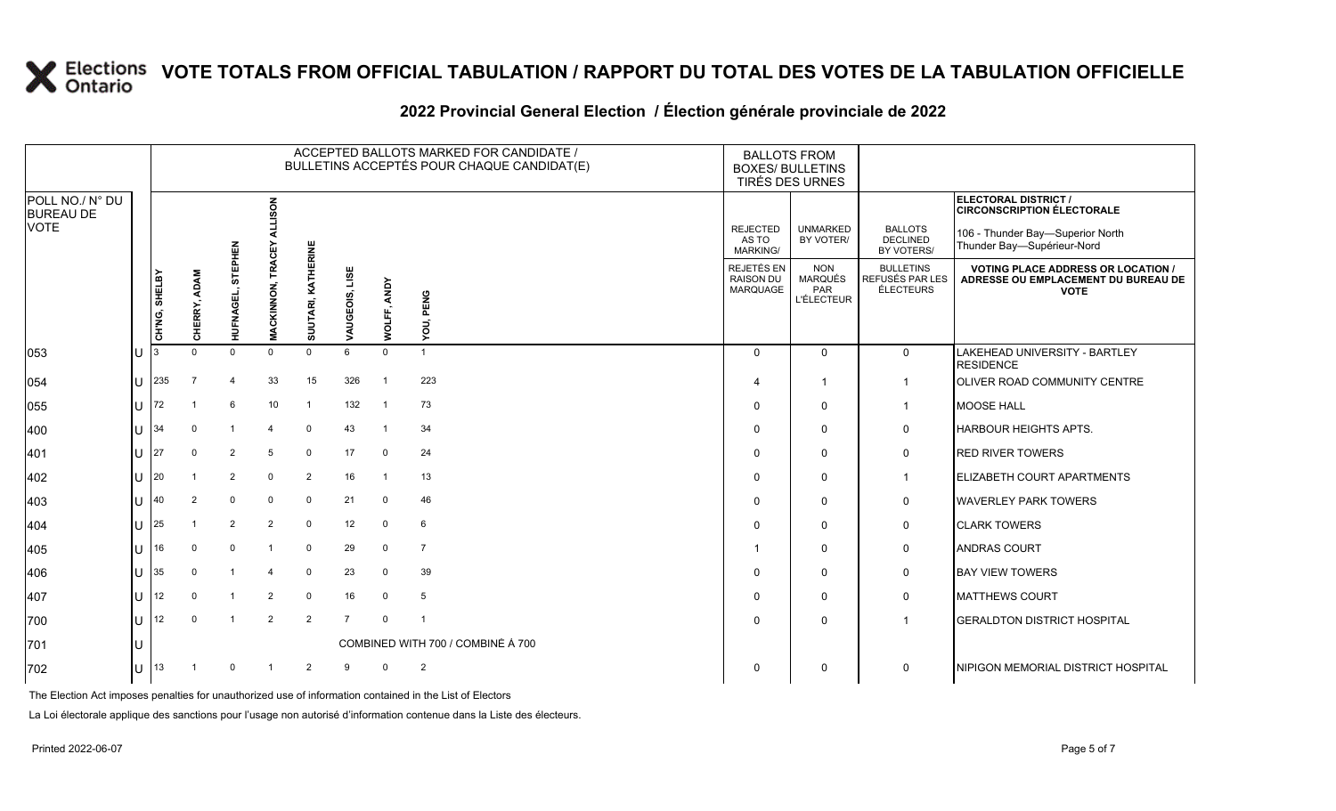#### **2022 Provincial General Election / Élection générale provinciale de 2022**

|                                                    |     |               |                 |                     |                          |                    |                   |                | ACCEPTED BALLOTS MARKED FOR CANDIDATE /<br>BULLETINS ACCEPTÉS POUR CHAQUE CANDIDAT(E) | <b>BALLOTS FROM</b><br><b>BOXES/ BULLETINS</b>    | TIRÉS DES URNES                                                 |                                                         |                                                                                                 |
|----------------------------------------------------|-----|---------------|-----------------|---------------------|--------------------------|--------------------|-------------------|----------------|---------------------------------------------------------------------------------------|---------------------------------------------------|-----------------------------------------------------------------|---------------------------------------------------------|-------------------------------------------------------------------------------------------------|
| POLL NO./ N° DU<br><b>BUREAU DE</b><br><b>VOTE</b> |     |               |                 |                     | ទី                       |                    |                   |                |                                                                                       | <b>REJECTED</b>                                   | <b>UNMARKED</b>                                                 | <b>BALLOTS</b>                                          | ELECTORAL DISTRICT /<br><b>CIRCONSCRIPTION ÉLECTORALE</b>                                       |
|                                                    |     |               |                 | 로워                  | ō                        |                    |                   |                |                                                                                       | AS TO<br><b>MARKING/</b>                          | BY VOTER/                                                       | <b>DECLINED</b><br>BY VOTERS/                           | 106 - Thunder Bay-Superior North<br>Thunder Bay-Supérieur-Nord                                  |
|                                                    |     | CH'NG, SHELBY | ADAM<br>CHERRY, | 5<br><b>HUFNAGE</b> | TRA<br><b>MACKINNON,</b> | SUUTARI, KATHERINE | LISE<br>VAUGEOIS, | WOLFF, ANDY    | YOU, PENG                                                                             | REJETÉS EN<br><b>RAISON DU</b><br><b>MARQUAGE</b> | <b>NON</b><br><b>MARQUÉS</b><br><b>PAR</b><br><b>L'ÉLECTEUR</b> | <b>BULLETINS</b><br>REFUSÉS PAR LES<br><b>ÉLECTEURS</b> | <b>VOTING PLACE ADDRESS OR LOCATION /</b><br>ADRESSE OU EMPLACEMENT DU BUREAU DE<br><b>VOTE</b> |
| 053                                                | lU  |               | $\Omega$        | $\Omega$            | $\mathbf 0$              | $\Omega$           | $6\overline{6}$   | $\mathbf{0}$   | $\overline{1}$                                                                        | $\Omega$                                          | $\mathbf{0}$                                                    | $\mathsf{O}$                                            | LAKEHEAD UNIVERSITY - BARTLEY<br><b>RESIDENCE</b>                                               |
| 054                                                | lU. | 235           | $\overline{7}$  | $\overline{4}$      | 33                       | 15                 | 326               | $\overline{1}$ | 223                                                                                   | 4                                                 | $\overline{1}$                                                  | $\mathbf{1}$                                            | <b>OLIVER ROAD COMMUNITY CENTRE</b>                                                             |
| 055                                                | lU  | 72            |                 | 6                   | 10 <sup>1</sup>          | $\overline{1}$     | 132               | $\overline{1}$ | 73                                                                                    | $\Omega$                                          | $\mathbf{0}$                                                    | $\mathbf{1}$                                            | <b>MOOSE HALL</b>                                                                               |
| 400                                                | lU. | 34            | $\Omega$        | $\overline{1}$      | $\overline{4}$           | $\mathsf 0$        | 43                | $\overline{1}$ | 34                                                                                    | $\Omega$                                          | $\mathbf{0}$                                                    | 0                                                       | HARBOUR HEIGHTS APTS.                                                                           |
| 401                                                | lU. | 27            | 0               | $\overline{2}$      | 5                        | 0                  | 17                | $\mathbf 0$    | 24                                                                                    | $\Omega$                                          | $\Omega$                                                        | 0                                                       | <b>RED RIVER TOWERS</b>                                                                         |
| 402                                                | lU  | 20            |                 | $\overline{2}$      | $\mathbf 0$              | $\overline{2}$     | 16                | $\overline{1}$ | 13                                                                                    | $\Omega$                                          | $\Omega$                                                        | $\mathbf{1}$                                            | <b>ELIZABETH COURT APARTMENTS</b>                                                               |
| 403                                                | lu  | 40            | 2               | $\mathbf 0$         | $\mathbf 0$              | $\mathbf 0$        | 21                | $\mathbf 0$    | 46                                                                                    | $\Omega$                                          | $\mathbf{0}$                                                    | $\mathsf{O}$                                            | <b>WAVERLEY PARK TOWERS</b>                                                                     |
| 404                                                | IU. | 25            |                 | $\overline{2}$      | $\overline{2}$           | $\mathbf 0$        | 12                | 0              | 6                                                                                     | $\Omega$                                          | $\Omega$                                                        | 0                                                       | <b>CLARK TOWERS</b>                                                                             |
| 405                                                | lυ  | 16            |                 | $\mathbf 0$         |                          | $\mathbf 0$        | 29                | 0              | $\overline{7}$                                                                        | -1                                                | $\Omega$                                                        | 0                                                       | <b>ANDRAS COURT</b>                                                                             |
| 406                                                | lU  | 35            | $\Omega$        | $\overline{1}$      | $\overline{4}$           | $\mathbf 0$        | 23                | $\mathbf 0$    | 39                                                                                    | $\Omega$                                          | $\mathbf{0}$                                                    | 0                                                       | <b>BAY VIEW TOWERS</b>                                                                          |
| 407                                                | IU. | 12            | $\Omega$        | $\overline{1}$      | $\overline{2}$           | $\mathbf 0$        | 16                | 0              | 5                                                                                     | $\Omega$                                          | $\Omega$                                                        | 0                                                       | <b>MATTHEWS COURT</b>                                                                           |
| 700                                                | ΙU  | 12            | $\Omega$        | $\overline{1}$      | $\overline{2}$           | $\overline{2}$     | $\overline{7}$    | 0              |                                                                                       | $\Omega$                                          | $\mathbf{0}$                                                    |                                                         | <b>GERALDTON DISTRICT HOSPITAL</b>                                                              |
| 701                                                | IU  |               |                 |                     |                          |                    |                   |                | COMBINED WITH 700 / COMBINÉ À 700                                                     |                                                   |                                                                 |                                                         |                                                                                                 |
| 702                                                | IU  | 13            |                 | $\Omega$            |                          | $\overline{2}$     | 9                 | $\Omega$       | $\overline{2}$                                                                        | $\Omega$                                          | $\Omega$                                                        | 0                                                       | NIPIGON MEMORIAL DISTRICT HOSPITAL                                                              |

The Election Act imposes penalties for unauthorized use of information contained in the List of Electors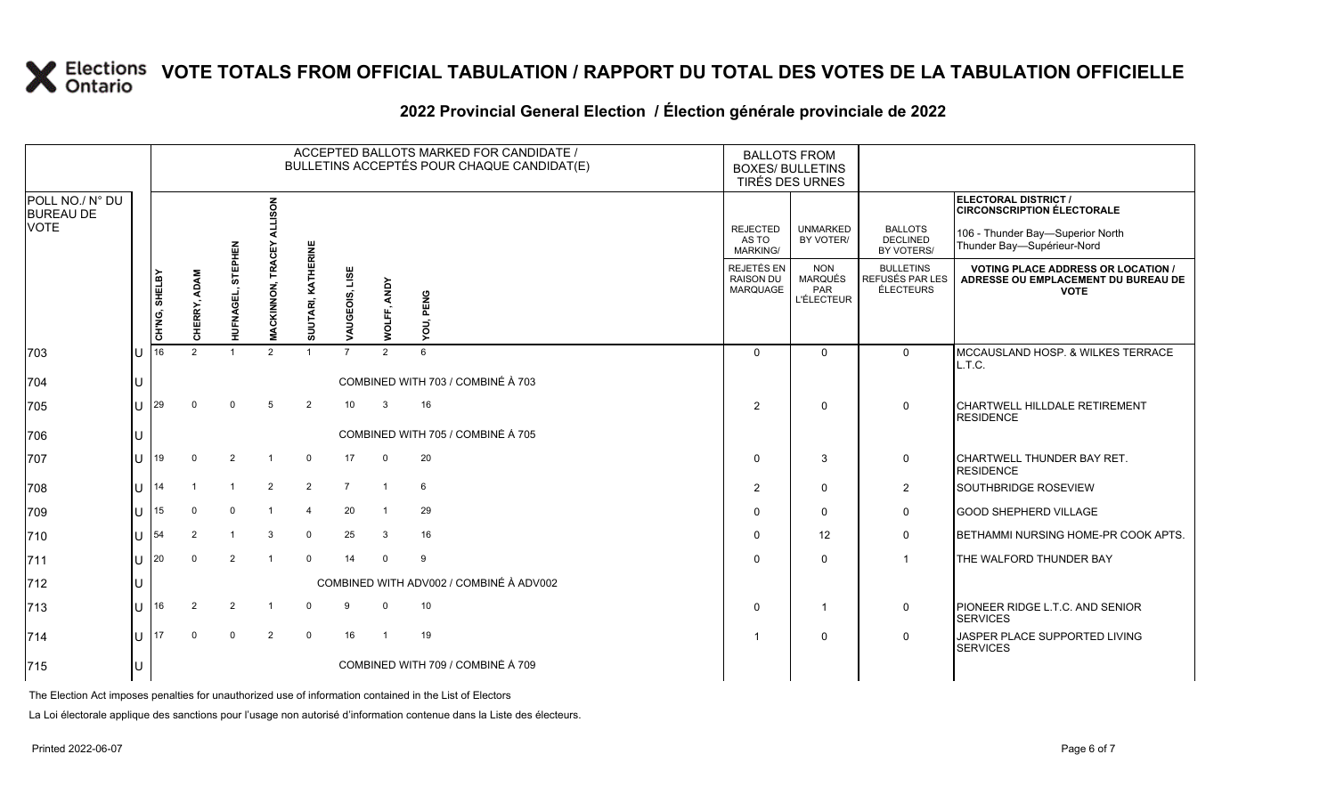#### **2022 Provincial General Election / Élection générale provinciale de 2022**

|                                     |     |               |                        |                |                          |                        |                   |                | ACCEPTED BALLOTS MARKED FOR CANDIDATE /<br>BULLETINS ACCEPTÉS POUR CHAQUE CANDIDAT(E) | <b>BALLOTS FROM</b><br><b>BOXES/ BULLETINS</b><br>TIRÉS DES URNES |                                                   |                                                  |                                                                                               |
|-------------------------------------|-----|---------------|------------------------|----------------|--------------------------|------------------------|-------------------|----------------|---------------------------------------------------------------------------------------|-------------------------------------------------------------------|---------------------------------------------------|--------------------------------------------------|-----------------------------------------------------------------------------------------------|
| POLL NO./ N° DU<br><b>BUREAU DE</b> |     |               |                        |                | る                        |                        |                   |                |                                                                                       |                                                                   |                                                   |                                                  | <b>ELECTORAL DISTRICT /</b><br><b>CIRCONSCRIPTION ÉLECTORALE</b>                              |
| <b>VOTE</b>                         |     |               |                        | 짍              | ن                        |                        |                   |                |                                                                                       | <b>REJECTED</b><br>AS TO<br>MARKING/                              | <b>UNMARKED</b><br>BY VOTER/                      | <b>BALLOTS</b><br><b>DECLINED</b><br>BY VOTERS/  | 106 - Thunder Bay-Superior North<br>Thunder Bay-Supérieur-Nord                                |
|                                     |     | CH'NG, SHELBY | <b>ADAM</b><br>CHERRY, | 5<br>HUFNAGEI  | TRA<br><b>MACKINNON,</b> | JUTARI, KATHERINE<br>ō | LISE<br>VAUGEOIS, | WOLFF, ANDY    | YOU, PENG                                                                             | <b>REJETÉS EN</b><br><b>RAISON DU</b><br>MARQUAGE                 | <b>NON</b><br>MARQUÉS<br>PAR<br><b>L'ÉLECTEUR</b> | <b>BULLETINS</b><br>REFUSÉS PAR LES<br>ÉLECTEURS | <b>VOTING PLACE ADDRESS OR LOCATION</b><br>ADRESSE OU EMPLACEMENT DU BUREAU DE<br><b>VOTE</b> |
| 703                                 | ΠT  | 16            | $\mathcal{P}$          |                | $\mathcal{P}$            |                        |                   | 2              | 6                                                                                     | $\Omega$                                                          | $\mathbf{0}$                                      | $\Omega$                                         | MCCAUSLAND HOSP. & WILKES TERRACE<br>L.T.C.                                                   |
| 704                                 |     |               |                        |                |                          |                        |                   |                | COMBINED WITH 703 / COMBINÉ À 703                                                     |                                                                   |                                                   |                                                  |                                                                                               |
| 705                                 | IП  | 29            |                        | $\Omega$       | 5                        | $\overline{2}$         | 10 <sup>°</sup>   | 3              | 16                                                                                    | $\overline{2}$                                                    | $\mathbf{0}$                                      | $\Omega$                                         | <b>CHARTWELL HILLDALE RETIREMENT</b><br><b>RESIDENCE</b>                                      |
| 706                                 | IU. |               |                        |                |                          |                        |                   |                | COMBINED WITH 705 / COMBINÉ À 705                                                     |                                                                   |                                                   |                                                  |                                                                                               |
| 707                                 | lu  | 19            | $\Omega$               | $\overline{2}$ |                          | $\mathbf 0$            | 17                | $\mathbf 0$    | 20                                                                                    | $\Omega$                                                          | 3                                                 | 0                                                | CHARTWELL THUNDER BAY RET.<br><b>RESIDENCE</b>                                                |
| 708                                 | Ш   | 14            |                        | $\overline{1}$ | $\overline{2}$           | $\overline{2}$         | $\overline{7}$    | $\overline{1}$ | 6                                                                                     | $\overline{2}$                                                    | $\Omega$                                          | $\overline{2}$                                   | SOUTHBRIDGE ROSEVIEW                                                                          |
| 709                                 | lu  | 15            | $\Omega$               | $\mathbf 0$    |                          | $\overline{4}$         | 20                | $\overline{1}$ | 29                                                                                    | $\Omega$                                                          | $\Omega$                                          | $\Omega$                                         | <b>GOOD SHEPHERD VILLAGE</b>                                                                  |
| 710                                 | lu- | 54            | 2                      | $\mathbf{1}$   | 3                        | $\mathbf 0$            | 25                | 3              | 16                                                                                    | $\Omega$                                                          | 12                                                | 0                                                | BETHAMMI NURSING HOME-PR COOK APTS.                                                           |
| 711                                 | lu- | 20            |                        | 2              |                          | $\mathbf 0$            | 14                | $\Omega$       | 9                                                                                     | $\Omega$                                                          | $\Omega$                                          | $\mathbf{1}$                                     | THE WALFORD THUNDER BAY                                                                       |
| 712                                 |     |               |                        |                |                          |                        |                   |                | COMBINED WITH ADV002 / COMBINÉ À ADV002                                               |                                                                   |                                                   |                                                  |                                                                                               |
| 713                                 | ΠT  | 16            | 2                      | $\overline{2}$ |                          | $\Omega$               | 9                 | $\mathbf 0$    | 10                                                                                    | $\Omega$                                                          | -1                                                | 0                                                | PIONEER RIDGE L.T.C. AND SENIOR<br><b>SERVICES</b>                                            |
| 714                                 | lu  | 17            | $\Omega$               | $\mathbf 0$    | $\overline{2}$           | $\mathbf 0$            | 16                | $\overline{1}$ | 19                                                                                    | -1                                                                | $\Omega$                                          | 0                                                | JASPER PLACE SUPPORTED LIVING<br><b>SERVICES</b>                                              |
| 715                                 | ΙU  |               |                        |                |                          |                        |                   |                | COMBINED WITH 709 / COMBINÉ À 709                                                     |                                                                   |                                                   |                                                  |                                                                                               |

The Election Act imposes penalties for unauthorized use of information contained in the List of Electors